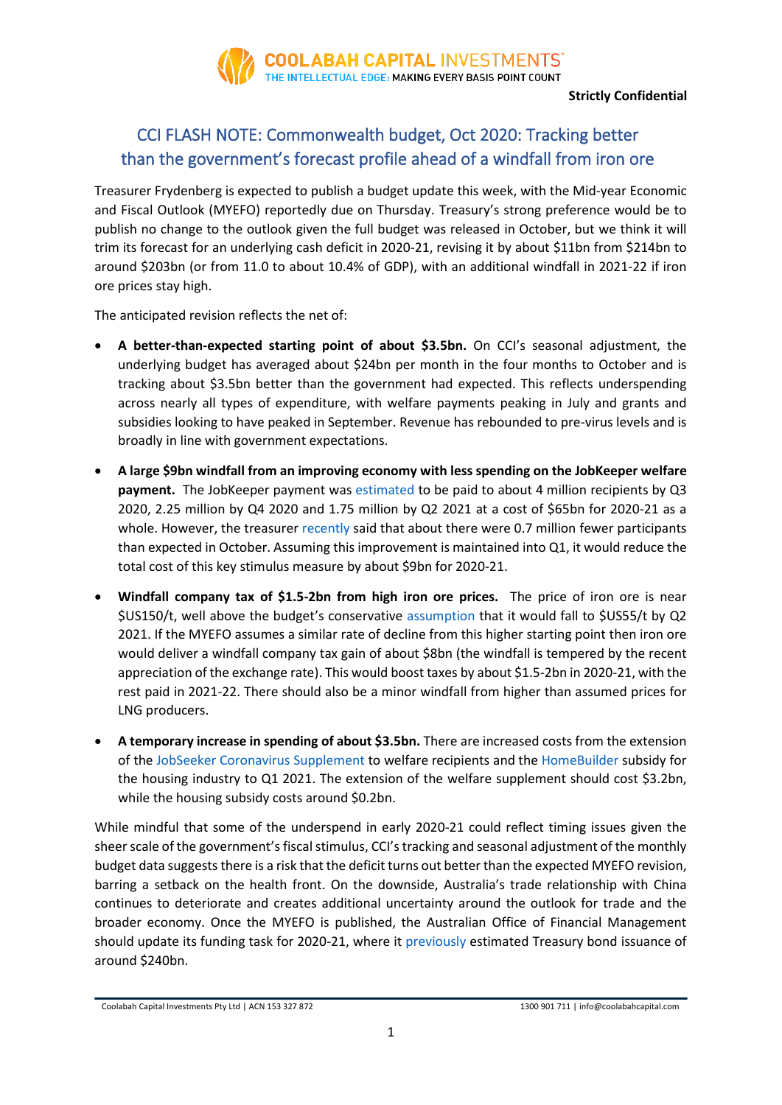

**Strictly Confidential**

# CCI FLASH NOTE: Commonwealth budget, Oct 2020: Tracking better than the government's forecast profile ahead of a windfall from iron ore

Treasurer Frydenberg is expected to publish a budget update this week, with the Mid-year Economic and Fiscal Outlook (MYEFO) reportedly due on Thursday. Treasury's strong preference would be to publish no change to the outlook given the full budget was released in October, but we think it will trim its forecast for an underlying cash deficit in 2020-21, revising it by about \$11bn from \$214bn to around \$203bn (or from 11.0 to about 10.4% of GDP), with an additional windfall in 2021-22 if iron ore prices stay high.

The anticipated revision reflects the net of:

- **A better-than-expected starting point of about \$3.5bn.** On CCI's seasonal adjustment, the underlying budget has averaged about \$24bn per month in the four months to October and is tracking about \$3.5bn better than the government had expected. This reflects underspending across nearly all types of expenditure, with welfare payments peaking in July and grants and subsidies looking to have peaked in September. Revenue has rebounded to pre-virus levels and is broadly in line with government expectations.
- **A large \$9bn windfall from an improving economy with less spending on the JobKeeper welfare payment.** The JobKeeper payment wa[s estimated](https://www.aph.gov.au/DocumentStore.ashx?id=440e79de-c0b6-4449-aa3a-2576e2b565ed) to be paid to about 4 million recipients by Q3 2020, 2.25 million by Q4 2020 and 1.75 million by Q2 2021 at a cost of \$65bn for 2020-21 as a whole. However, the treasurer [recently](https://ministers.treasury.gov.au/ministers/josh-frydenberg-2018/media-releases/jobkeeper-update-0) said that about there were 0.7 million fewer participants than expected in October. Assuming this improvement is maintained into Q1, it would reduce the total cost of this key stimulus measure by about \$9bn for 2020-21.
- **Windfall company tax of \$1.5-2bn from high iron ore prices.** The price of iron ore is near \$US150/t, well above the budget's conservative [assumption](https://budget.gov.au/2020-21/content/bp1/download/bp1_bs2.pdf) that it would fall to \$US55/t by Q2 2021. If the MYEFO assumes a similar rate of decline from this higher starting point then iron ore would deliver a windfall company tax gain of about \$8bn (the windfall is tempered by the recent appreciation of the exchange rate). This would boost taxes by about \$1.5-2bn in 2020-21, with the rest paid in 2021-22. There should also be a minor windfall from higher than assumed prices for LNG producers.
- **A temporary increase in spending of about \$3.5bn.** There are increased costs from the extension of the [JobSeeker Coronavirus Supplement](https://www.servicesaustralia.gov.au/individuals/news/coronavirus-supplement-extending) to welfare recipients and the [HomeBuilder](https://ministers.treasury.gov.au/ministers/josh-frydenberg-2018/media-releases/homebuilder-success-sees-programme-extended) subsidy for the housing industry to Q1 2021. The extension of the welfare supplement should cost \$3.2bn, while the housing subsidy costs around \$0.2bn.

While mindful that some of the underspend in early 2020-21 could reflect timing issues given the sheer scale of the government's fiscal stimulus, CCI's tracking and seasonal adjustment of the monthly budget data suggests there is a risk that the deficit turns out better than the expected MYEFO revision, barring a setback on the health front. On the downside, Australia's trade relationship with China continues to deteriorate and creates additional uncertainty around the outlook for trade and the broader economy. Once the MYEFO is published, the Australian Office of Financial Management should update its funding task for 2020-21, where it [previously](https://www.aofm.gov.au/program/issuance-program) estimated Treasury bond issuance of around \$240bn.

Coolabah Capital Investments Pty Ltd | ACN 153 327 872 1300 901 711 | info@coolabahcapital.com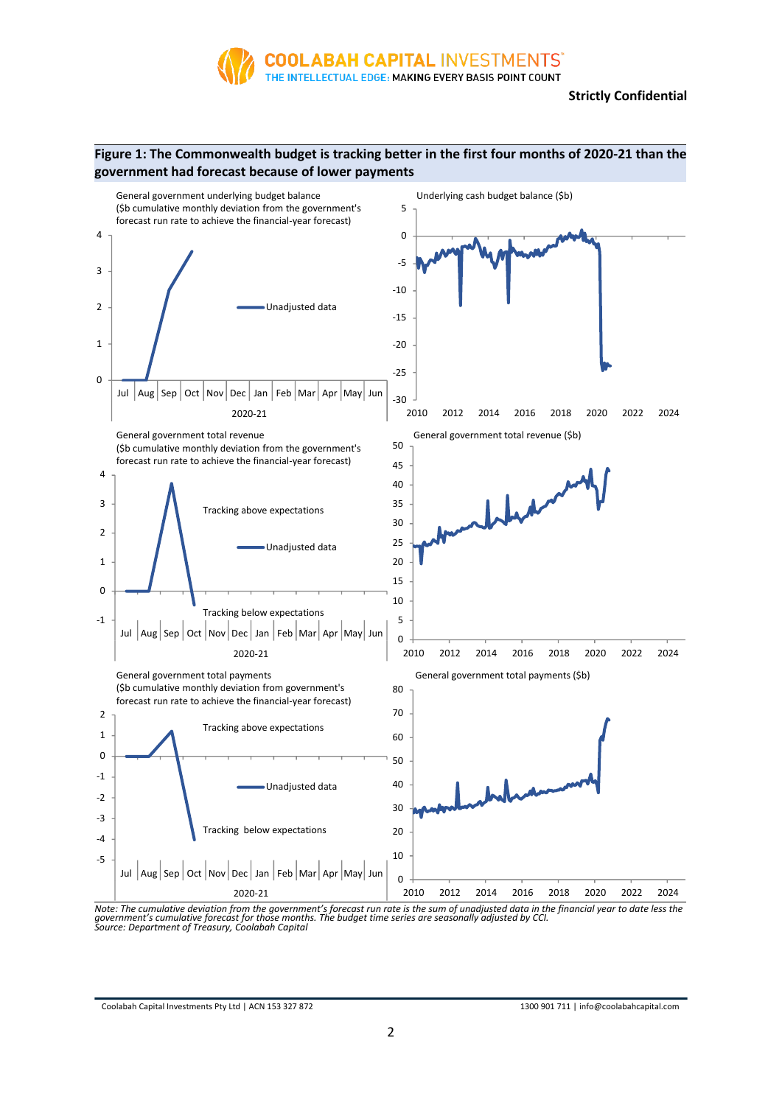

# **Figure 1: The Commonwealth budget is tracking better in the first four months of 2020-21 than the government had forecast because of lower payments**



Note: The cumulative deviation from the government's forecast run rate is the sum of unadjusted data in the financial year to date less the<br>government's cumulative forecast for those months. The budget time series are seas

Coolabah Capital Investments Pty Ltd | ACN 153 327 872 1300 901 711 | info@coolabahcapital.com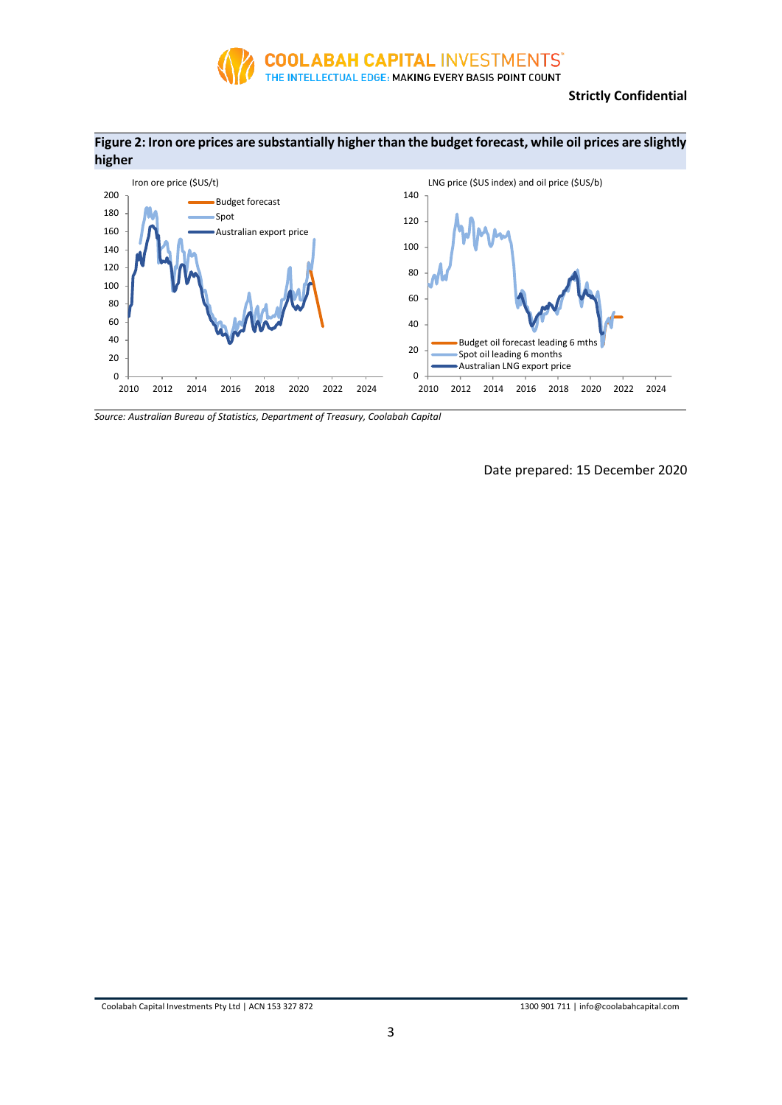

## **Strictly Confidential**





*Source: Australian Bureau of Statistics, Department of Treasury, Coolabah Capital*

Date prepared: 15 December 2020

Coolabah Capital Investments Pty Ltd | ACN 153 327 872 1300 901 711 | info@coolabahcapital.com